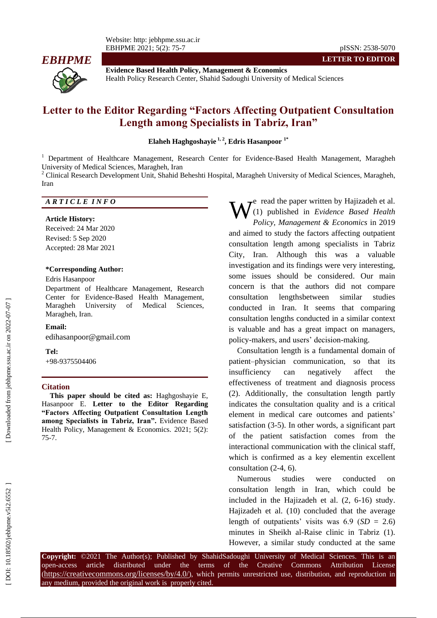Website: http: jebhpme.ssu.ac.ir EBHPME 202 1; 5(2): 75 -



**Evidence Based Health Policy, Management & Economics** Health Policy Research Center, Shahid Sadoughi University of Medical Sciences

# **Letter to the Editor Regarding "Factors Affecting Outpatient Consultation Length among Specialists in Tabriz, Iran"**

**Elaheh Haghgoshayie 1 , 2 , Edris Hasanpoor 1 \***

<sup>1</sup> Department of Healthcare Management, Research Center for Evidence-Based Health Management, Maragheh University of Medical Sciences, Maragheh, Iran<br><sup>2</sup> Clinical Research Development Unit, Shahid Beheshti Hospital, Maragheh University of Medical Sciences, Maragheh,

Iran

### *A R T I C L E I N F O*

#### **Article History:**

Received: 24 Mar 2020 Revised: 5 Sep 2020 Accepted: 28 Mar 2021

#### **\*Corresponding Author:**

#### Edris Hasanpoor

Department of Healthcare Management, Research Center for Evidence -Based Health Management, Maragheh University of Medical Sciences, Maragheh, Iran .

#### **Email:**

[edihasanpoor@gmail.com](mailto:edihasanpoor@gmail.com)

#### **Tel:**

+98 -9375504406

#### **Citation**

**This paper should be cited as:** Haghgoshayie E, Hasanpoor E. **Letter to the Editor Regarding "Factors Affecting Outpatient Consultation Length among Specialists in Tabriz, Iran" .** Evidence Based Health Policy, Management & Economics. 2021; 5(2): 75 - 7 .

**E** read the paper written by Hajizadeh et al.<br>(1) published in *Evidence Based Health Policy, Management & Economics* in 2019 and aimed to study the factors affecting outpatient consultation length among specialists in Tabriz City, Iran . Although this was a valuable investigation and its findings were very interesting, some issues should be considered. Our main concern is that the authors did not compare consultation lengthsbetween similar studies conducted in Iran. It seems that comparing consultation lengths conducted in a similar context is valuable and has a great impact on managers, policy -makers , and users' decision -making. **W**<sup>c</sup> read the paper written by Hajizadch et al.<br>
(1) published in *Evidence Based Health*<br>
and aimed to study, *Management* & *Economics* in 2019<br>
consultation length among specialists in Tabriz<br>
City, Iran. Although th

Consultation length is a fundamental domain of patient–physician communication, so that its insufficiency can negatively affect the effectiveness of treatment and diagnosis process (2). Additionally, the consultation length partly indicates the consultation quality and is a critical element in medical care outcomes and patients' satisfaction (3-5). In other words, a significant part of the patient satisfaction comes from the interactional communication with the clinical staff, which is confirmed as a key elementin excellent consultation  $(2-4, 6)$ .

Numerous studies were conducted on consultation length in Iran, which could be included in the Hajizadeh et al.  $(2, 6-16)$  study. Haj izadeh et al. (10 ) concluded that the average length of outpatients' visits was  $6.9$  (*SD* = 2.6) minutes in Sheikh al-Raise clinic in Tabriz (1).

Copyright: ©2021 The Author(s); Published by ShahidSadoughi University of Medical Sciences. This is an open-access -access article distributed under the terms of the Creative Commons Attribution License (https://creativecommons.org/licenses/by/4.0/), which permits unrestricted use, distribution, and reproduction in any medium, provided the original work is properly cited.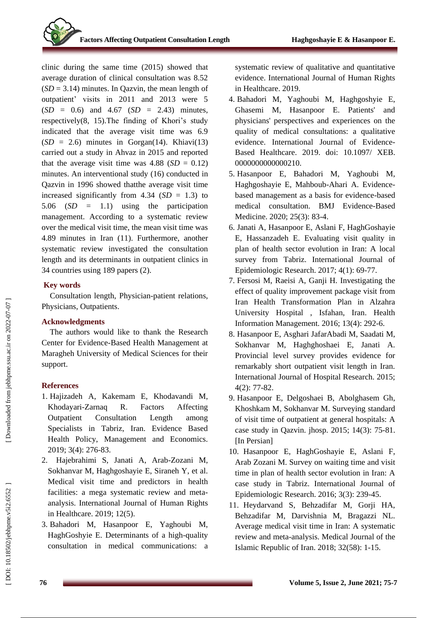clinic during the same time (2015) showed that average duration of clinical consultation was 8.52 (*SD* = 3.14) minutes. In Qazvin, the mean length of outpatient' visits in 2011 and 2013 were 5  $(SD = 0.6)$  and 4.67  $(SD = 2.43)$  minutes, respectively ( 8, 15 ) .The finding of Khori's study indicated that the average visit time was  $6.9$  (*SD* = 2.6) minutes in Gorgan(14). Khiavi(13) carried out a study in Ahvaz in 2015 and reported that the average visit time was  $4.88$  (*SD* = 0.12) minutes. An interventional study (16 ) conducted in Qazvin in 1996 showed thatthe average visit time increased significantly from  $4.34$  (*SD* = 1.3) to 5.06 (*SD* = 1.1) using the participation management. According to a systematic review over the medical visit time, the mean visit time was 4.89 minutes in Iran (11 ) . Furthermore, another systematic review investigated the consultation length and its determinants in outpatient clinics in 34 countries using 189 papers ( 2 ) .

### **Key words**

Consultation length, Physician -patient relations , Physicians, Outpatients .

### **Acknowledgments**

The authors would like to thank the Research Center for Evidence -Based Health Management at Maragheh University of Medical Sciences for their support.

## **References**

- 1. Hajizadeh A, Kakemam E, Khodavandi M, Khodayari R. Factors Affecting Outpatient Consultation Length among Specialists in Tabriz, Iran. Evidence Based Health Policy, Management and Economics. 2019; 3(4): 276 -83.
- 2. Hajebrahimi S, Janati A, Arab -Zozani M, Sokhanvar M, Haghgoshayie E, Siraneh Y, et al. Medical visit time and predictors in health facilities: a mega systematic review and meta analysis. International Journal of Human Rights in Healthcare. 2019; 12(5).
- 3. Bahadori M, Hasanpoor E, Yaghoubi M, HaghGoshyie E. Determinants of a high -quality consultation in medical communications: a

systematic review of qualitative and quantitative evidence. International Journal of Human Rights in Healthcare. 2019.

- 4. Bahadori M, Yaghoubi M, Haghgoshyie E, Ghasemi M, Hasanpoor E. Patients' and physicians' perspectives and experiences on the quality of medical consultations: a qualitative evidence. International Journal of Evidence - Based Healthcare. 2019. doi: 10.1097/ XEB. 0000000000000210.
- 5. Hasanpoor E, Bahadori M, Yaghoubi M, Haghgoshayie E, Mahboub -Ahari A. Evidence based management as a basis for evidence -based medical consultation. BMJ Evidence -Based Medicine. 2020; 25(3): 83 -4.
- 6. Janati A, Hasanpoor E, Aslani F, HaghGoshayie E, Hassanzadeh E. Evaluating visit quality in plan of health sector evolution in Iran: A local survey from Tabriz. International Journal of Epidemiologic Research. 2017; 4(1): 69 -77.
- 7. Fersosi M, Raeisi A, Ganji H. Investigating the effect of quality improvement package visit from Iran Health Transformation Plan in Alzahra University Hospital , Isfahan, Iran. Health Information Management. 2016; 13(4): 292 -6.
- 8. Hasanpoor E, Asghari JafarAbadi M, Saadati M, Sokhanvar M, Haghghoshaei E, Janati A. Provincial level survey provides evidence for remarkably short outpatient visit length in Iran. International Journal of Hospital Research. 2015; 4(2): 77 -82.
- 9. Hasanpoor E, Delgoshaei B, Abolghasem Gh, Khoshkam M, Sokhanvar M. Surveying standard of visit time of outpatient at general hospitals: A case study in Qazvin. jhosp. 2015; 14(3): 75 -81. [In Persian]
- 10. Hasanpoor E, HaghGoshayie E, Aslani F, Arab Zozani M. Survey on waiting time and visit time in plan of health sector evolution in Iran: A case study in Tabriz. International Journal of Epidemiologic Research. 2016; 3(3): 239 -45.
- 11. Heydarvand S, Behzadifar M, Gorji HA, Behzadifar M, Darvishnia M, Bragazzi NL. Average medical visit time in Iran: A systematic review and meta -analysis. Medical Journal of the Islamic Republic of Iran. 2018; 32(58): 1 -15.